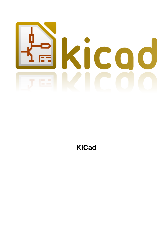

# **KiCad**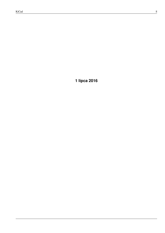**1 lipca 2016**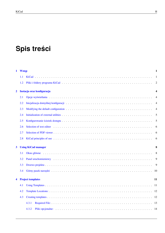# **Spis treści**

| $\mathbf{1}$ | <b>Wstęp</b> |                                                                                                                                                                                                                                | 1              |
|--------------|--------------|--------------------------------------------------------------------------------------------------------------------------------------------------------------------------------------------------------------------------------|----------------|
|              | 1.1          |                                                                                                                                                                                                                                | 1              |
|              | 1.2          |                                                                                                                                                                                                                                | $\overline{2}$ |
| $\mathbf 2$  |              | Instacja oraz konfiguracja                                                                                                                                                                                                     | 4              |
|              | 2.1          | Opcje wyświetlania enterpretatelowane and contact the contact of the contact the contact the contact of the contact the contact of the contact the contact of the contact the contact of the contact the contact of the contac | $\overline{4}$ |
|              | 2.2          | Inicjalizacja domyślnej konfiguracji (alian alian alian alian alian alian alian alian alian alian alian alian a                                                                                                                | 4              |
|              | 2.3          |                                                                                                                                                                                                                                | 4              |
|              | 2.4          |                                                                                                                                                                                                                                | 5              |
|              | 2.5          |                                                                                                                                                                                                                                | 5              |
|              | 2.6          |                                                                                                                                                                                                                                | 6              |
|              | 2.7          |                                                                                                                                                                                                                                | 6              |
|              | 2.8          |                                                                                                                                                                                                                                | 6              |
| 3            |              | <b>Using KiCad manager</b>                                                                                                                                                                                                     | 8              |
|              | 3.1          |                                                                                                                                                                                                                                | 8              |
|              | 3.2          |                                                                                                                                                                                                                                | 9              |
|              | 3.3          |                                                                                                                                                                                                                                | 9              |
|              | 3.4          |                                                                                                                                                                                                                                | 10             |
| 4            |              | <b>Project templates</b><br>11                                                                                                                                                                                                 |                |
|              | 4.1          |                                                                                                                                                                                                                                | -11            |
|              | 4.2          |                                                                                                                                                                                                                                | -12            |
|              | 4.3          |                                                                                                                                                                                                                                | -12            |
|              |              | 4.3.1                                                                                                                                                                                                                          | -13            |
|              |              | 4.3.2                                                                                                                                                                                                                          |                |
|              |              |                                                                                                                                                                                                                                |                |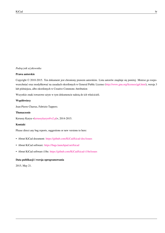#### *Podręcznik użytkownika*

#### **Prawa autorskie**

Copyright © 2010-2015. Ten dokument jest chroniony prawem autorskim. Lista autorów znajduje się poniżej. Możesz go rozpowszechniać oraz modyfikować na zasadach określonych w General Public License (http://www.gnu.org/licenses/gpl.html), wersja 3 lub późniejsza, albo określonych w Creative Commons Attribution

Wszystkie znaki towarowe użyte w tym dokumencie należą do ich właścicieli.

#### **Współtwórcy**

Jean-Pierre Charras, Fabrizio Tappero.

#### **Tłumaczenie**

Kerusey Karyu <keruseykaryu@o2.pl>, 2014-2015.

#### **Kontakt**

Please direct any [bug reports, suggesti](mailto:keruseykaryu@o2.pl)ons or new versions to here:

- About KiCad document: https://github.com/KiCad/kicad-doc/issues
- About KiCad software: https://bugs.launchpad.net/kicad
- About KiCad software i18n: [https://github.com/KiCad/kicad-i18n/is](https://github.com/KiCad/kicad-doc/issues)sues

#### **Data publikacji i wersja [oprogramowania](https://bugs.launchpad.net/kicad)**

2015, May 21.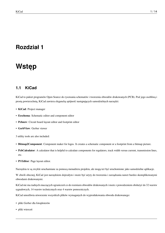## <span id="page-4-0"></span>**Wstęp**

#### <span id="page-4-1"></span>**1.1 KiCad**

KiCad to pakiet programów Open Source do rysowania schematów i tworzenia obwodów drukowanych (PCB). Pod jego osobliwą i prostą powierzchnią, KiCad zawiera elegancką spójność następujących samodzielnych narzędzi:

- **KiCad**: Project manager
- **Eeschema**: Schematic editor and component editor
- **Pcbnew**: Circuit board layout editor and footprint editor
- **GerbView**: Gerber viewer
- 3 utility tools are also included:
- **Bitmap2Component**: Component maker for logos. It creates a schematic component or a footprint from a bitmap picture.
- **PcbCalculator**: A calculator that is helpful to calculate components for regulators, track width versus current, transmission lines, etc.
- **Pl Editor**: Page layout editor.

Narzędzia te są zwykle uruchamiane za pomocą menadżera projektu, ale mogą też być uruchomione jako samodzielne aplikacje.

W chwili obecnej, KiCad jest narzędziem dojrzałym i może być użyty do tworzenia i zarządzania nawet bardzo skomplikowanymi obwodami drukowanymi.

KiCad nie ma żadnych znaczących ograniczeń co do rozmiaru obwodów drukowanych i może z powodzeniem obsłużyć do 32 warstw sygnałowych, 14 warstw technicznych oraz 4 warstw pomocniczych.

KiCad umożliwia utworzenie wszystkich plików wymaganych do wyprodukowania obwodu drukowanego:

- pliki Gerber dla fotoploterów
- pliki wierceń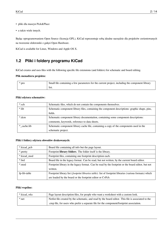- pliki dla maszyn Pick&Place
- a także wiele innych.

Będąc oprogramowaniem Open Source (licencja GPL), KiCad reprezentuje sobą idealne narzędzie dla projektów zorientowanych na tworzenie elektroniki z gałęzi Open Hardware.

KiCad is available for Linux, Windows and Apple OS X.

## <span id="page-5-0"></span>**1.2 Pliki i foldery programu KiCad**

KiCad creates and uses files with the following specific file extensions (and folders) for schematic and board editing.

#### **Plik menadżera projektu:**

| *.pro | Small file containing a few parameters for the current project, including the component library |
|-------|-------------------------------------------------------------------------------------------------|
|       | list.                                                                                           |

#### **Pliki edytora schematów:**

| *.sch       | Schematic files, which do not contain the components themselves.                               |
|-------------|------------------------------------------------------------------------------------------------|
| *.lib       | Schematic component library files, containing the component descriptions: graphic shape, pins, |
|             | fields.                                                                                        |
| *.dcm       | Schematic component library documentation, containing some component descriptions:             |
|             | comments, keywords, reference to data sheets.                                                  |
| * cache.lib | Schematic component library cache file, containing a copy of the components used in the        |
|             | schematic project.                                                                             |

#### **Pliki i foldery edytora obwodów drukowanych:**

| *.kicad_pcb  | Board file containing all info but the page layout.                                                              |
|--------------|------------------------------------------------------------------------------------------------------------------|
| *.pretty     | Footprint library folders. The folder itself is the library.                                                     |
| *.kicad_mod  | Footprint files, containing one footprint description each.                                                      |
| *.brd        | Board file in the legacy format. Can be read, but not written, by the current board editor.                      |
| *.mod        | Footprint library in the legacy format. Can be read by the footprint or the board editor, but not                |
|              | written.                                                                                                         |
| fp-lib-table | Footprint library list ( <i>footprint libraries table</i> ): list of footprint libraries (various formats) which |
|              | are loaded by the board or the footprint editor or CvPcb.                                                        |

#### **Pliki wspólne:**

| *.kicad wks | Page layout description files, for people who want a worksheet with a custom look.                  |
|-------------|-----------------------------------------------------------------------------------------------------|
| *.net       | Netlist file created by the schematic, and read by the board editor. This file is associated to the |
|             | .cmp file, for users who prefer a separate file for the component/footprint association.            |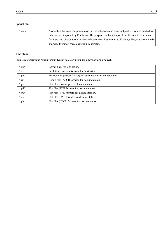#### **Special file:**

| *.cmp | Association between components used in the schematic and their footprints. It can be created by       |
|-------|-------------------------------------------------------------------------------------------------------|
|       | Pobnew, and imported by Eeschema. The purpose is a back import from Pobnew to Eeschema,               |
|       | for users who change footprints inside Pcbnew (for instance using <i>Exchange Footprints</i> command) |
|       | and want to import these changes in schematic.                                                        |

#### **Inne pliki:**

Pliki te są generowane przez program KiCad do celów produkcji obwodów drukowanych.

| *.gbr    | Gerber files, for fabrication.                                   |
|----------|------------------------------------------------------------------|
| *.drl    | Drill files (Excellon format), for fabrication.                  |
| *.pos    | Position files (ASCII format), for automatic insertion machines. |
| *.rpt    | Report files (ASCII format), for documentation.                  |
| $*$ .ps  | Plot files (Postscript), for documentation.                      |
| *.pdf    | Plot files (PDF format), for documentation.                      |
| $*.$ svg | Plot files (SVG format), for documentation.                      |
| $*$ .dxf | Plot files (DXF format), for documentation.                      |
| *.plt    | Plot files (HPGL format), for documentation.                     |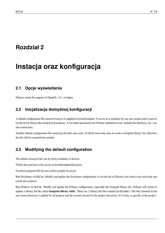# <span id="page-7-0"></span>**Instacja oraz konfiguracja**

### <span id="page-7-1"></span>**2.1 Opcje wyświetlania**

Pcbnew needs the support of OpenGL v2.1 or higher.

## <span id="page-7-2"></span>**2.2 Inicjalizacja domyślnej konfiguracji**

A default configuration file named *kicad.pro* is supplied in kicad/template. It serves as a template for any new project and is used to set the list of library files loaded by Eeschema. A few other parameters for Pcbnew (default text size, default line thickness, etc.) are also stored here.

Another default configuration file named *fp-lib-table* may exist. It will be used only once to create a footprint library list; otherwise the list will be created from scratch.

## <span id="page-7-3"></span>**2.3 Modifying the default configuration**

The default *kicad.pro* file can be freely modified, if desired.

Verify that you have write access to kicad/template/kicad.pro

Uruchom program KiCad oraz otwórz projekt *kicad.pro*.

Run Eeschema via KiCad. Modify and update the Eeschema configuration, to set the list of libraries you want to use each time you create new projects.

Run Pcbnew via KiCad. Modify and update the Pcbnew configuration, especially the footprint library list. Pcbnew will create or update a library list file called **footprint library table**. There are 2 library list files (named fp-lib-table): The first (located in the user home directory) is global for all projects and the second (located in the project directory), if it exists, is specific to the project.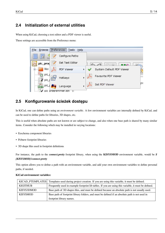### <span id="page-8-0"></span>**2.4 Initialization of external utilities**

When using KiCad, choosing a text editor and a PDF viewer is useful.

These settings are accessible from the Preference menu:



### <span id="page-8-1"></span>**2.5 Konfigurowanie ścieżek dostępu**

In KiCad, one can define paths using an *environment variable*. A few environment variables are internally defined by KiCad, and can be used to define paths for libraries, 3D shapes, etc.

This is useful when absolute paths are not known or are subject to change, and also when one base path is shared by many similar items. Consider the following which may be installed in varying locations:

- Eeschema component libraries
- Pcbnew footprint libraries
- 3D shape files used in footprint definitions

For instance, the path to the *connect.pretty* footprint library, when using the **KISYSMOD** environment variable, would be *\$ {KISYSMOD}/connect.pretty*

This option allows you to define a path with an environment variable, and add your own environment variables to define personal paths, if needed.

|                 | KICAD_PTEMPLATES Templates used during project creation. If you are using this variable, it must be defined. |
|-----------------|--------------------------------------------------------------------------------------------------------------|
| <b>KIGITHUB</b> | Frequently used in example footprint lib tables. If you are using this variable, it must be defined.         |
| KISYS3DMOD      | Base path of 3D shapes files, and must be defined because an absolute path is not usually used.              |
| <b>KISYSMOD</b> | Base path of footprint library folders, and must be defined if an absolute path is not used in               |
|                 | footprint library names.                                                                                     |

#### **KiCad environment variables:**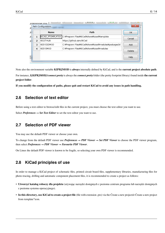<sub>nr</sub>

þ þ  $\mathbf{r}$ 

I

| orrammer.cmp<br>x<br>Path Configuration |                 |                                                              |          |
|-----------------------------------------|-----------------|--------------------------------------------------------------|----------|
|                                         | <b>Name</b>     | Path                                                         | $\alpha$ |
| 1                                       |                 | KICAD_PTEMPLATES C:¥Program Files¥KiCad¥share¥kicad¥template | Cancel   |
| $\overline{ }$                          | <b>KIGITHUB</b> | https://github.com/KiCad                                     |          |
| з                                       | KISYS3DMOD      | C:¥Program Files¥KiCad¥share¥kicad¥modules¥packages3d        | Add      |
| 4                                       | <b>KISYSMOD</b> | C:¥Program Files¥KiCad¥share¥kicad¥modules                   | Delete   |
|                                         |                 |                                                              | Heln     |

Note also the environment variable **KIPRJMOD** is **always** internally defined by KiCad, and is the **current project absolute path**.

For instance, *\${KIPRJMOD}/connect.pretty* is always the *connect.pretty* folder (the pretty footprint library) found inside **the current project folder**.

**If you modify the configuration of paths, please quit and restart KiCad to avoid any issues in path handling.**

#### <span id="page-9-0"></span>**2.6 Selection of text editor**

Before using a text editor to browse/edit files in the current project, you must choose the text editor you want to use.

Select *Preferences → Set Text Editor* to set the text editor you want to use.

#### <span id="page-9-1"></span>**2.7 Selection of PDF viewer**

You may use the default PDF viewer or choose your own.

To change from the default PDF viewer use *Preferences → PDF Viewer → Set PDF Viewer* to choose the PDF viewer program, then select *Preferences → PDF Viewer → Favourite PDF Viewer*.

On Linux the default PDF viewer is known to be fragile, so selecting your own PDF viewer is recommended.

#### <span id="page-9-2"></span>**2.8 KiCad principles of use**

In order to manage a KiCad project of schematic files, printed circuit board files, supplementary libraries, manufacturing files for photo-tracing, drilling and automatic component placement files, it is recommended to create a project as follows:

- **Utworzyć katalog roboczy dla projektu** (używając narzędzi dostępnych z poziomu centrum programu lub narzędzi dostępnych z poziomu systemu operacyjnego).
- **In this directory, use KiCad to create a project file** (file with extension .pro) via the Ćreate a new projectór Ćreate a new project from template"icon.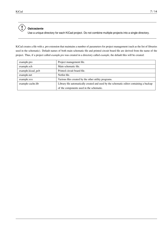

Use a unique directory for each KiCad project. Do not combine multiple projects into a single directory.

KiCad creates a file with a .pro extension that maintains a number of parameters for project management (such as the list of libraries used in the schematic). Default names of both main schematic file and printed circuit board file are derived from the name of the project. Thus, if a project called *example.pro* was created in a directory called *example*, the default files will be created:

| example.pro       | Project management file.                                                                |
|-------------------|-----------------------------------------------------------------------------------------|
| example.sch       | Main schematic file.                                                                    |
| example.kicad_pcb | Printed circuit board file.                                                             |
| example.net       | Netlist file.                                                                           |
| example.xxx       | Various files created by the other utility programs.                                    |
| example-cache.lib | Library file automatically created and used by the schematic editor containing a backup |
|                   | of the components used in the schematic.                                                |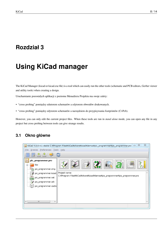## <span id="page-11-0"></span>**Using KiCad manager**

The KiCad Manager (kicad or kicad.exe file) is a tool which can easily run the other tools (schematic and PCB editors, Gerber viewer and utility tools) when creating a design.

Uruchamianie pozostałych aplikacji z poziomu Menadżera Projektu ma swoje zalety:

- "cross probing" pomiędzy edutorem schematów a edytorem obwodów drukowanych.
- "cross probing" pomiędzy edytorem schematów a narzędziem do przypisywania footprintów (CvPcb).

However, you can only edit the current project files. When these tools are run in *stand alone* mode, you can open any file in any project but cross probing between tools can give strange results.

### <span id="page-11-1"></span>**3.1 Okno główne**

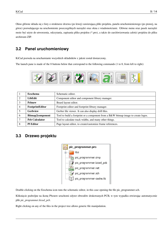Okno główne składa się z listy o strukturze drzewa (po lewej) zawierającą pliki projektu, panelu uruchomieniowego (po prawej, na górze) pozwalającego na uruchomienie poszczególnych narzędzi oraz okna z wiadomościami. Główne menu oraz pasek narzędzi może być użyte do utworzenia, odczytania, zapisania pliku projektu (\*.pro), a także do zarchiwizowania całości projektu do pliku archiwum ZIP.

## <span id="page-12-0"></span>**3.2 Panel uruchomieniowy**

KiCad pozwala na uruchamianie wszystkich składników z jakmi został dostarczony.

The launch pane is made of the 8 buttons below that correspond to the following commands (1 to 8, from left to right):



|   | <b>Eeschema</b>         | Schematic editor.                                                                 |
|---|-------------------------|-----------------------------------------------------------------------------------|
|   | LibEdit                 | Component editor and component library manager.                                   |
|   | <b>Pcbnew</b>           | Board layout editor.                                                              |
|   | FootprintEditor         | Footprint editor and footprint library manager.                                   |
|   | <b>Gerbview</b>         | Gerber file viewer. It can also display drill files.                              |
| 6 | <b>Bitmap2component</b> | Tool to build a footprint or a component from a B&W bitmap image to create logos. |
|   | <b>Pcb Calculator</b>   | Tool to calculate track widths, and many other things.                            |
| 8 | <b>PI Editor</b>        | Page layout editor, to create/customize frame references.                         |

### <span id="page-12-1"></span>**3.3 Drzewo projektu**



Double-clicking on the Eeschema icon runs the schematic editor, in this case opening the file pic\_programmer.sch.

Kliknięcie podwójne na ikonę Pbcnew uruchomi edytor obwodów drukowanych PCB, w tym wypadku otwierając automatycznie plik *pic\_programmer.kicad\_pcb*.

Right clicking on any of the files in the project tree allows generic file manipulation.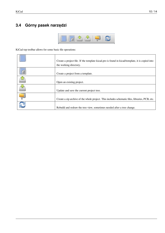## <span id="page-13-0"></span>**3.4 Górny pasek narzędzi**



KiCad top toolbar allows for some basic file operations:

| Create a project file. If the template kicad.pro is found in kicad/template, it is copied into<br>the working directory. |
|--------------------------------------------------------------------------------------------------------------------------|
| Create a project from a template.                                                                                        |
| Open an existing project.                                                                                                |
| Update and save the current project tree.                                                                                |
| Create a zip archive of the whole project. This includes schematic files, libraries, PCB, etc.                           |
| Rebuild and redraw the tree view, sometimes needed after a tree change.                                                  |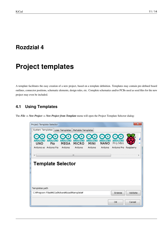# <span id="page-14-0"></span>**Project templates**

A template facilitates the easy creation of a new project, based on a template definition. Templates may contain pre-defined board outlines, connector positions, schematic elements, design rules, etc. Complete schematics and/or PCBs used as seed files for the new project may even be included.

## <span id="page-14-1"></span>**4.1 Using Templates**

The *File → New Project → New Project from Template* menu will open the Project Template Selector dialog:

| Project Template Selector                    |     |                 |                         |                        |                        |                         |           | $\mathbf{x}$ |
|----------------------------------------------|-----|-----------------|-------------------------|------------------------|------------------------|-------------------------|-----------|--------------|
| System Templates   User Templates            |     |                 | Portable Templates      |                        |                        |                         |           |              |
| UNO<br>Arduino as Arduino Fio                | Fio | MEGA<br>Arduino | <b>MICRO</b><br>Arduino | <b>MINI</b><br>Arduino | <b>NANO</b><br>Arduino | Pro Mini<br>Arduino Pro | Raspberry | S1           |
|                                              |     |                 |                         |                        |                        |                         |           |              |
|                                              |     |                 | m.                      |                        |                        |                         |           | Þ            |
| <b>Template Selector</b>                     |     |                 |                         |                        |                        |                         |           |              |
|                                              |     |                 |                         |                        |                        |                         |           |              |
|                                              |     |                 |                         |                        |                        |                         |           |              |
|                                              |     |                 |                         |                        |                        |                         |           |              |
| Templates path                               |     |                 |                         |                        |                        |                         |           |              |
| C:¥Program Files¥KiCad¥share¥kicad¥template¥ |     |                 |                         |                        |                        | Browse                  | Validate  |              |
|                                              |     |                 |                         |                        |                        | 0K                      | Cancel    |              |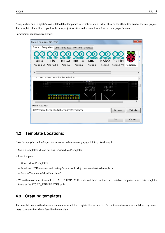A single click on a template's icon will load that template's information, and a further click on the OK button creates the new project. The template files will be copied to the new project location and renamed to reflect the new project's name.

Po wybraniu jednego z szablonów:

| Project Template Selector |                                              |                |                    |                                           |                   |             |           | $\mathbf{x}$ |
|---------------------------|----------------------------------------------|----------------|--------------------|-------------------------------------------|-------------------|-------------|-----------|--------------|
| System Templates          |                                              | User Templates | Portable Templates |                                           |                   |             |           |              |
| UNO                       | Fio                                          | <b>MEGA</b>    | <b>MICRO</b>       | <b>MINI</b>                               | <b>NANO</b>       | Pro Mini    |           | S1           |
|                           | Arduino as Arduino Fio                       | Arduino        | Arduino            | Arduino                                   | Arduino           | Arduino Pro | Raspberry |              |
|                           |                                              |                | m.                 |                                           |                   |             |           |              |
|                           | The board outline looks like the following:  |                |                    |                                           |                   |             |           |              |
|                           |                                              |                |                    | mm -000.55<br>$-12 + 2$<br>REMOVE<br>ורוא |                   |             |           |              |
|                           |                                              |                |                    | STD<br>NO TH ABOVE                        | IND.<br>TH ABOVE! |             |           |              |
|                           |                                              |                | Ш                  |                                           |                   |             |           |              |
| Templates path            |                                              |                |                    |                                           |                   |             |           |              |
|                           | C:¥Program Files¥KiCad¥share¥kicad¥template¥ |                |                    |                                           |                   | Browse      | Validate  |              |
|                           |                                              |                |                    |                                           |                   | 0K          | Cancel    |              |

## <span id="page-15-0"></span>**4.2 Template Locations:**

Lista dostępnych szablonów jest tworzona na podstawie następujących lokacji źródłowych:

- System templates: <kicad bin dir>/../share/kicad/template/
- User templates:
	- **–** Unix: ~/kicad/templates/
	- **–** Windows: C:\Documents and Settings\użytkownik\Moje dokumenty\kicad\templates
	- **–** Mac: ~/Documents/kicad/templates/
- When the environment variable KICAD\_PTEMPLATES is defined there is a third tab, Portable Templates, which lists templates found at the KICAD\_PTEMPLATES path.

### <span id="page-15-1"></span>**4.3 Creating templates**

The template name is the directory name under which the template files are stored. The metadata directory, in a subdirectory named **meta**, contains files which describe the template.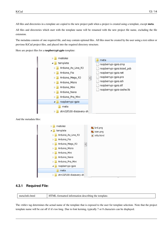All files and directories in a template are copied to the new project path when a project is created using a template, except **meta**.

All files and directories which start with the template name will be renamed with the new project file name, excluding the file extension.

The metadata consists of one required file, and may contain optional files. All files must be created by the user using a text editor or previous KiCad project files, and placed into the required directory structure.

Here are project files for a **raspberrypi-gpio** template:



And the metadata files:



#### **4.3.1 Required File:**

meta/info.html HTML-formatted information describing the template.

The  $\lt$ title> tag determines the actual name of the template that is exposed to the user for template selection. Note that the project template name will be cut off if it's too long. Due to font kerning, typically 7 or 8 characters can be displayed.